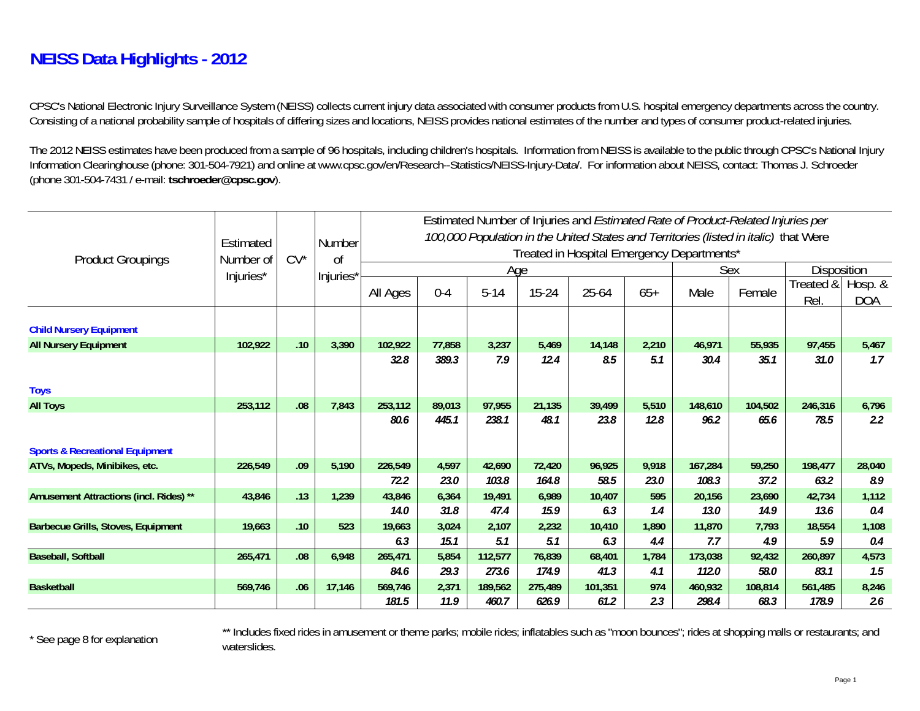## **NEISS Data Highlights - 2012**

CPSC's National Electronic Injury Surveillance System (NEISS) collects current injury data associated with consumer products from U.S. hospital emergency departments across the country. Consisting of a national probability sample of hospitals of differing sizes and locations, NEISS provides national estimates of the number and types of consumer product-related injuries.

The 2012 NEISS estimates have been produced from a sample of 96 hospitals, including children's hospitals. Information from NEISS is available to the public through CPSC's National Injury Information Clearinghouse (phone: 301-504-7921) and online at www.cpsc.gov/en/Research--Statistics/NEISS-Injury-Data/. For information about NEISS, contact: Thomas J. Schroeder (phone 301-504-7431 / e-mail: **tschroeder@cpsc.gov**).

|                                            |           |        |           |                                                                                      |         |          |           |         |       | Estimated Number of Injuries and <i>Estimated Rate of Product-Related Injuries per</i> |                    |                                                                                                                                                      |                       |  |
|--------------------------------------------|-----------|--------|-----------|--------------------------------------------------------------------------------------|---------|----------|-----------|---------|-------|----------------------------------------------------------------------------------------|--------------------|------------------------------------------------------------------------------------------------------------------------------------------------------|-----------------------|--|
|                                            | Estimated |        | Number    | 100,000 Population in the United States and Territories (listed in italic) that Were |         |          |           |         |       |                                                                                        |                    |                                                                                                                                                      |                       |  |
| <b>Product Groupings</b>                   | Number of | $CV^*$ | $\sigma$  |                                                                                      |         |          |           |         |       | Treated in Hospital Emergency Departments*                                             |                    |                                                                                                                                                      |                       |  |
|                                            | Injuries* |        | Injuries* |                                                                                      |         | Age      |           |         | Sex   |                                                                                        | <b>Disposition</b> |                                                                                                                                                      |                       |  |
|                                            |           |        |           | All Ages                                                                             | $0 - 4$ | $5 - 14$ | $15 - 24$ | 25-64   | $65+$ | Male                                                                                   | Female             | Treated &  <br>Rel<br>97,455<br>31.0<br>246,316<br>78.5<br>198,477<br>63.2<br>42,734<br>13.6<br>18,554<br>5.9<br>260,897<br>83.1<br>561,485<br>178.9 | Hosp. &<br><b>DOA</b> |  |
| <b>Child Nursery Equipment</b>             |           |        |           |                                                                                      |         |          |           |         |       |                                                                                        |                    |                                                                                                                                                      |                       |  |
| <b>All Nursery Equipment</b>               | 102,922   | .10    | 3,390     | 102,922                                                                              | 77,858  | 3,237    | 5,469     | 14,148  | 2,210 | 46,971                                                                                 | 55,935             |                                                                                                                                                      | 5,467                 |  |
|                                            |           |        |           | 32.8                                                                                 | 389.3   | 7.9      | 12.4      | 8.5     | 5.1   | 30.4                                                                                   | 35.1               |                                                                                                                                                      | 1.7                   |  |
|                                            |           |        |           |                                                                                      |         |          |           |         |       |                                                                                        |                    |                                                                                                                                                      |                       |  |
| <b>Toys</b>                                |           |        |           |                                                                                      |         |          |           |         |       |                                                                                        |                    |                                                                                                                                                      |                       |  |
| <b>All Toys</b>                            | 253,112   | .08    | 7,843     | 253,112                                                                              | 89,013  | 97,955   | 21,135    | 39,499  | 5,510 | 148,610                                                                                | 104,502            |                                                                                                                                                      | 6,796                 |  |
|                                            |           |        |           | 80.6                                                                                 | 445.1   | 238.1    | 48.1      | 23.8    | 12.8  | 96.2                                                                                   | 65.6               |                                                                                                                                                      | $2.2^{\circ}$         |  |
| <b>Sports &amp; Recreational Equipment</b> |           |        |           |                                                                                      |         |          |           |         |       |                                                                                        |                    |                                                                                                                                                      |                       |  |
| ATVs, Mopeds, Minibikes, etc.              | 226,549   | .09    | 5,190     | 226,549                                                                              | 4,597   | 42,690   | 72,420    | 96,925  | 9,918 | 167,284                                                                                | 59,250             |                                                                                                                                                      | 28,040                |  |
|                                            |           |        |           | 72.2                                                                                 | 23.0    | 103.8    | 164.8     | 58.5    | 23.0  | 108.3                                                                                  | 37.2               |                                                                                                                                                      | 8.9                   |  |
| Amusement Attractions (incl. Rides) **     | 43,846    | .13    | 1,239     | 43,846                                                                               | 6,364   | 19,491   | 6,989     | 10,407  | 595   | 20,156                                                                                 | 23,690             |                                                                                                                                                      | 1,112                 |  |
|                                            |           |        |           | <b>14.0</b>                                                                          | 31.8    | 47.4     | 15.9      | 6.3     | 1.4   | 13.0                                                                                   | 14.9               |                                                                                                                                                      | 0.4                   |  |
| Barbecue Grills, Stoves, Equipment         | 19,663    | .10    | 523       | 19,663                                                                               | 3,024   | 2,107    | 2,232     | 10,410  | 1,890 | 11,870                                                                                 | 7,793              |                                                                                                                                                      | 1,108                 |  |
|                                            |           |        |           | 6.3                                                                                  | 15.1    | 5.1      | 5.1       | 6.3     | 4.4   | 7.7                                                                                    | 4.9                |                                                                                                                                                      | 0.4                   |  |
| <b>Baseball, Softball</b>                  | 265,471   | .08    | 6,948     | 265,471                                                                              | 5,854   | 112,577  | 76,839    | 68,401  | 1,784 | 173,038                                                                                | 92,432             |                                                                                                                                                      | 4,573                 |  |
|                                            |           |        |           | 84.6                                                                                 | 29.3    | 273.6    | 174.9     | 41.3    | 4.1   | 112.0                                                                                  | 58.0               |                                                                                                                                                      | 1.5                   |  |
| <b>Basketball</b>                          | 569,746   | .06    | 17,146    | 569,746                                                                              | 2,371   | 189,562  | 275,489   | 101,351 | 974   | 460,932                                                                                | 108,814            |                                                                                                                                                      | 8,246                 |  |
|                                            |           |        |           | 181.5                                                                                | 11.9    | 460.7    | 626.9     | 61.2    | 2.3   | 298.4                                                                                  | 68.3               |                                                                                                                                                      | 2.6                   |  |

\* See page 8 for explanation \*\* Includes fixed rides in amusement or theme parks; mobile rides; inflatables such as "moon bounces"; rides at shopping malls or restaurants; and waterslides.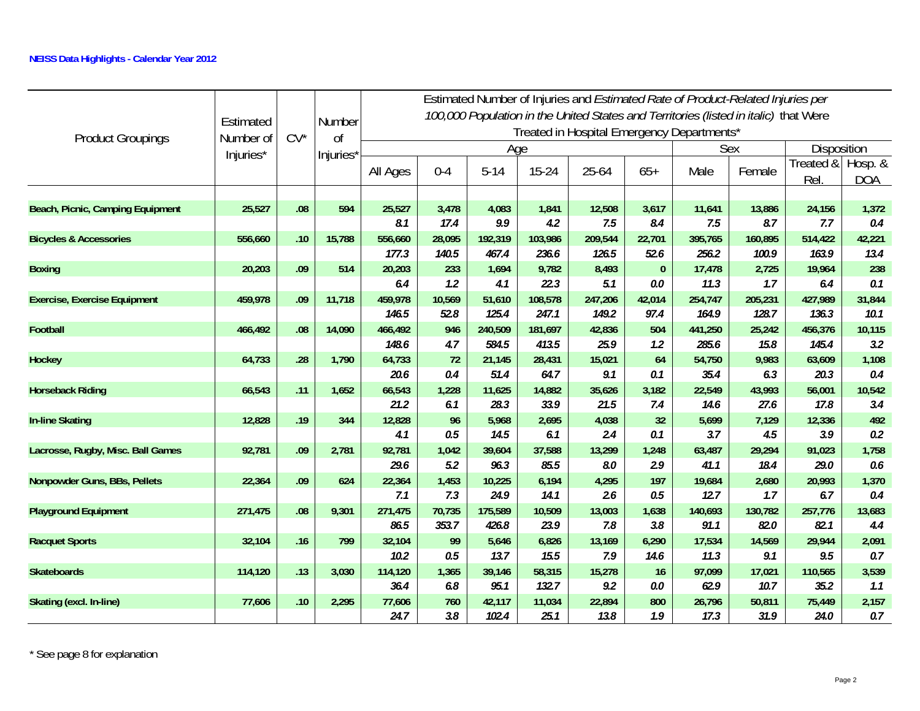|                                     | Estimated |        | Number        |               |              |                |               | Treated in Hospital Emergency Departments* |            |                | Estimated Number of Injuries and <i>Estimated Rate of Product-Related Injuries per</i><br>100,000 Population in the United States and Territories (listed in italic) that Were |                                                                                                                                                                                                                                                                                               |                       |
|-------------------------------------|-----------|--------|---------------|---------------|--------------|----------------|---------------|--------------------------------------------|------------|----------------|--------------------------------------------------------------------------------------------------------------------------------------------------------------------------------|-----------------------------------------------------------------------------------------------------------------------------------------------------------------------------------------------------------------------------------------------------------------------------------------------|-----------------------|
| <b>Product Groupings</b>            | Number of | $CV^*$ | <sub>Of</sub> |               |              | Age            |               |                                            |            |                | Sex                                                                                                                                                                            | Disposition<br>Treated &<br><b>Rel</b><br>24,156<br>7.7<br>514,422<br>163.9<br>19,964<br>6.4<br>427,989<br>136.3<br>456,376<br>145.4<br>63,609<br>20.3<br>56,001<br>17.8<br>12,336<br>3.9<br>91,023<br>29.0<br>20,993<br>6.7<br>257,776<br>82.1<br>29,944<br>9.5<br>110,565<br>35.2<br>75,449 |                       |
|                                     | Injuries* |        | Injuries'     | All Ages      | $0 - 4$      | $5 - 14$       | $15 - 24$     | 25-64                                      | $65+$      | Male           | Female                                                                                                                                                                         |                                                                                                                                                                                                                                                                                               | Hosp. &<br><b>DOA</b> |
| Beach, Picnic, Camping Equipment    | 25,527    | .08    | 594           | 25,527        | 3,478        | 4,083          | 1,841         | 12,508                                     | 3,617      | 11,641         | 13,886                                                                                                                                                                         |                                                                                                                                                                                                                                                                                               | 1,372                 |
|                                     |           |        |               | 8.1           | 17.4         | 9.9            | 4.2           | 7.5                                        | 8.4        | 7.5            | 8.7                                                                                                                                                                            |                                                                                                                                                                                                                                                                                               | 0.4                   |
| <b>Bicycles &amp; Accessories</b>   | 556,660   | .10    | 15,788        | 556,660       | 28,095       | 192,319        | 103,986       | 209,544                                    | 22,701     | 395,765        | 160,895                                                                                                                                                                        |                                                                                                                                                                                                                                                                                               | 42,221                |
|                                     |           |        |               | 177.3         | 140.5        | 467.4          | 236.6         | 126.5                                      | 52.6       | 256.2          | 100.9                                                                                                                                                                          |                                                                                                                                                                                                                                                                                               | 13.4                  |
| <b>Boxing</b>                       | 20,203    | .09    | 514           | 20,203        | 233          | 1,694          | 9,782         | 8,493                                      | $\pmb{0}$  | 17,478         | 2,725                                                                                                                                                                          |                                                                                                                                                                                                                                                                                               | 238                   |
|                                     |           |        |               | 6.4           | 1.2          | 4.1            | 22.3          | 5.1                                        | 0.0        | 11.3           | 1.7                                                                                                                                                                            |                                                                                                                                                                                                                                                                                               | 0.1                   |
| <b>Exercise, Exercise Equipment</b> | 459,978   | .09    | 11,718        | 459,978       | 10,569       | 51,610         | 108,578       | 247,206                                    | 42,014     | 254,747        | 205,231                                                                                                                                                                        |                                                                                                                                                                                                                                                                                               | 31,844                |
|                                     |           |        |               | 146.5         | 52.8         | 125.4          | 247.1         | 149.2                                      | 97.4       | 164.9          | 128.7                                                                                                                                                                          |                                                                                                                                                                                                                                                                                               | 10.1                  |
| <b>Football</b>                     | 466,492   | .08    | 14,090        | 466,492       | 946          | 240,509        | 181,697       | 42,836                                     | 504        | 441,250        | 25,242                                                                                                                                                                         |                                                                                                                                                                                                                                                                                               | 10,115                |
|                                     |           |        |               | 148.6         | 4.7          | 584.5          | 413.5         | 25.9                                       | 1.2        | 285.6          | 15.8                                                                                                                                                                           |                                                                                                                                                                                                                                                                                               | 3.2                   |
| Hockey                              | 64,733    | .28    | 1,790         | 64,733        | 72           | 21,145         | 28,431        | 15,021                                     | 64         | 54,750         | 9,983                                                                                                                                                                          |                                                                                                                                                                                                                                                                                               | 1,108                 |
|                                     |           |        |               | 20.6          | 0.4          | 51.4           | 64.7          | 9.1                                        | 0.1        | 35.4           | 6.3                                                                                                                                                                            |                                                                                                                                                                                                                                                                                               | 0.4                   |
| <b>Horseback Riding</b>             | 66,543    | .11    | 1,652         | 66,543        | 1,228        | 11,625         | 14,882        | 35,626                                     | 3,182      | 22,549         | 43,993                                                                                                                                                                         |                                                                                                                                                                                                                                                                                               | 10,542                |
|                                     |           |        |               | 21.2          | 6.1          | 28.3           | 33.9          | 21.5                                       | 7.4        | 14.6           | 27.6                                                                                                                                                                           |                                                                                                                                                                                                                                                                                               | 3.4                   |
| <b>In-line Skating</b>              | 12,828    | .19    | 344           | 12,828        | 96           | 5,968          | 2,695         | 4,038                                      | 32         | 5,699          | 7,129                                                                                                                                                                          |                                                                                                                                                                                                                                                                                               | 492                   |
|                                     |           |        |               | 4.1           | 0.5          | 14.5           | 6.1           | 2.4                                        | 0.1        | 3.7            | 4.5                                                                                                                                                                            |                                                                                                                                                                                                                                                                                               | 0.2                   |
| Lacrosse, Rugby, Misc. Ball Games   | 92,781    | .09    | 2,781         | 92,781        | 1,042        | 39,604         | 37,588        | 13,299                                     | 1,248      | 63,487         | 29,294                                                                                                                                                                         |                                                                                                                                                                                                                                                                                               | 1,758                 |
|                                     | 22,364    | .09    | 624           | 29.6          | 5.2          | 96.3           | 85.5<br>6,194 | 8.0                                        | 2.9<br>197 | 41.1<br>19,684 | 18.4                                                                                                                                                                           |                                                                                                                                                                                                                                                                                               | 0.6<br>1,370          |
| Nonpowder Guns, BBs, Pellets        |           |        |               | 22,364<br>7.1 | 1,453<br>7.3 | 10,225<br>24.9 | 14.1          | 4,295<br>2.6                               | 0.5        | 12.7           | 2,680<br>1.7                                                                                                                                                                   |                                                                                                                                                                                                                                                                                               | 0.4                   |
| <b>Playground Equipment</b>         | 271,475   | .08    | 9,301         | 271,475       | 70,735       | 175,589        | 10,509        | 13,003                                     | 1,638      | 140,693        | 130,782                                                                                                                                                                        |                                                                                                                                                                                                                                                                                               | 13,683                |
|                                     |           |        |               | 86.5          | 353.7        | 426.8          | 23.9          | 7.8                                        | 3.8        | 91.1           | 82.0                                                                                                                                                                           |                                                                                                                                                                                                                                                                                               | 4.4                   |
| <b>Racquet Sports</b>               | 32,104    | .16    | 799           | 32,104        | 99           | 5,646          | 6,826         | 13,169                                     | 6,290      | 17,534         | 14,569                                                                                                                                                                         |                                                                                                                                                                                                                                                                                               | 2,091                 |
|                                     |           |        |               | 10.2          | 0.5          | 13.7           | 15.5          | 7.9                                        | 14.6       | 11.3           | 9.1                                                                                                                                                                            |                                                                                                                                                                                                                                                                                               | 0.7                   |
| <b>Skateboards</b>                  | 114,120   | .13    | 3,030         | 114,120       | 1,365        | 39,146         | 58,315        | 15,278                                     | 16         | 97,099         | 17,021                                                                                                                                                                         |                                                                                                                                                                                                                                                                                               | 3,539                 |
|                                     |           |        |               | 36.4          | 6.8          | 95.1           | 132.7         | 9.2                                        | 0.0        | 62.9           | 10.7                                                                                                                                                                           |                                                                                                                                                                                                                                                                                               | 1.1                   |
| Skating (excl. In-line)             | 77,606    | .10    | 2,295         | 77,606        | 760          | 42,117         | 11,034        | 22,894                                     | 800        | 26,796         | 50,811                                                                                                                                                                         |                                                                                                                                                                                                                                                                                               | 2,157                 |
|                                     |           |        |               | 24.7          | 3.8          | 102.4          | 25.1          | 13.8                                       | 1.9        | 17.3           | 31.9                                                                                                                                                                           | 24.0                                                                                                                                                                                                                                                                                          | 0.7                   |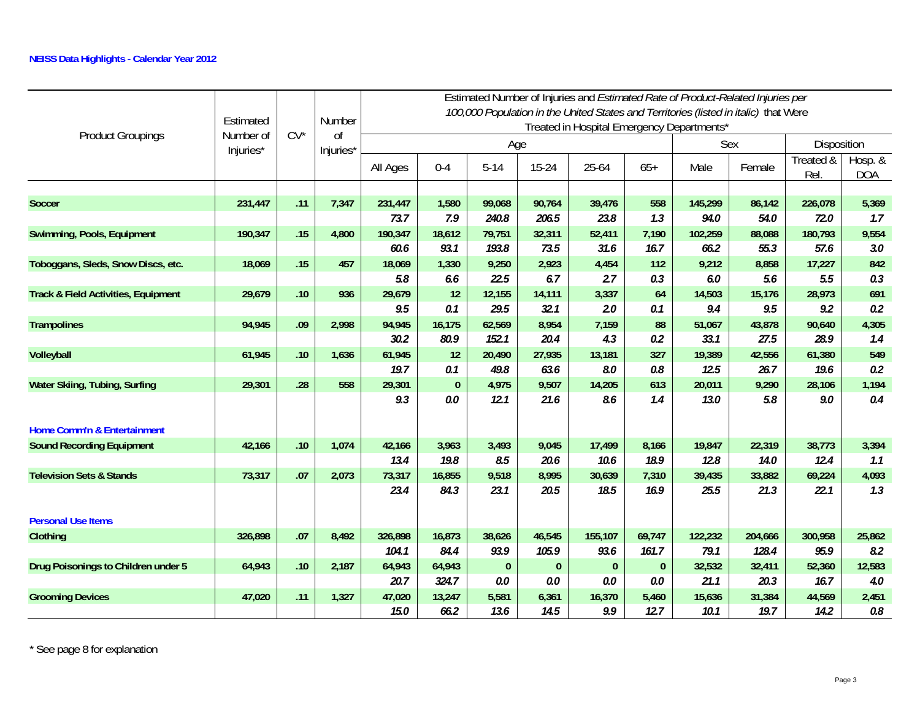| <b>Product Groupings</b>                       | Estimated<br>Number of | $CV^*$ | Number<br>0 <sup>f</sup> |          |          |              |           | Estimated Number of Injuries and Estimated Rate of Product-Related Injuries per<br>100,000 Population in the United States and Territories (listed in italic) that Were<br>Treated in Hospital Emergency Departments* |          |         |             |                                                                                                                                                                                                                                           |                       |
|------------------------------------------------|------------------------|--------|--------------------------|----------|----------|--------------|-----------|-----------------------------------------------------------------------------------------------------------------------------------------------------------------------------------------------------------------------|----------|---------|-------------|-------------------------------------------------------------------------------------------------------------------------------------------------------------------------------------------------------------------------------------------|-----------------------|
|                                                | Injuries*              |        | Injuries*                |          |          | Age          |           |                                                                                                                                                                                                                       |          | Sex     | Disposition |                                                                                                                                                                                                                                           |                       |
|                                                |                        |        |                          | All Ages | $0 - 4$  | $5 - 14$     | $15 - 24$ | 25-64                                                                                                                                                                                                                 | $65+$    | Male    | Female      | Treated &<br>Rel.<br>226,078<br>72.0<br>180,793<br>57.6<br>17,227<br>5.5<br>28,973<br>9.2<br>90,640<br>28.9<br>61,380<br>19.6<br>28,106<br>9.0<br>38,773<br>12.4<br>69,224<br>22.1<br>300,958<br>95.9<br>52,360<br>16.7<br>44,569<br>14.2 | Hosp. &<br><b>DOA</b> |
|                                                |                        |        |                          |          |          |              |           |                                                                                                                                                                                                                       |          |         |             |                                                                                                                                                                                                                                           |                       |
| <b>Soccer</b>                                  | 231,447                | .11    | 7,347                    | 231,447  | 1,580    | 99,068       | 90,764    | 39,476                                                                                                                                                                                                                | 558      | 145,299 | 86,142      |                                                                                                                                                                                                                                           | 5,369                 |
|                                                |                        |        |                          | 73.7     | 7.9      | 240.8        | 206.5     | 23.8                                                                                                                                                                                                                  | 1.3      | 94.0    | 54.0        |                                                                                                                                                                                                                                           | 1.7                   |
| Swimming, Pools, Equipment                     | 190,347                | .15    | 4,800                    | 190,347  | 18,612   | 79,751       | 32,311    | 52,411                                                                                                                                                                                                                | 7,190    | 102,259 | 88,088      |                                                                                                                                                                                                                                           | 9,554                 |
|                                                |                        |        |                          | 60.6     | 93.1     | 193.8        | 73.5      | 31.6                                                                                                                                                                                                                  | 16.7     | 66.2    | 55.3        |                                                                                                                                                                                                                                           | 3.0                   |
| Toboggans, Sleds, Snow Discs, etc.             | 18,069                 | .15    | 457                      | 18,069   | 1,330    | 9,250        | 2,923     | 4,454                                                                                                                                                                                                                 | 112      | 9,212   | 8,858       |                                                                                                                                                                                                                                           | 842                   |
|                                                |                        |        |                          | 5.8      | 6.6      | 22.5         | 6.7       | 2.7                                                                                                                                                                                                                   | 0.3      | 6.0     | 5.6         |                                                                                                                                                                                                                                           | 0.3                   |
| <b>Track &amp; Field Activities, Equipment</b> | 29,679                 | .10    | 936                      | 29,679   | 12       | 12,155       | 14,111    | 3,337                                                                                                                                                                                                                 | 64       | 14,503  | 15,176      |                                                                                                                                                                                                                                           | 691                   |
|                                                |                        |        |                          | 9.5      | 0.1      | 29.5         | 32.1      | 2.0                                                                                                                                                                                                                   | 0.1      | 9.4     | 9.5         |                                                                                                                                                                                                                                           | 0.2                   |
| <b>Trampolines</b>                             | 94,945                 | .09    | 2,998                    | 94,945   | 16,175   | 62,569       | 8,954     | 7,159                                                                                                                                                                                                                 | 88       | 51,067  | 43,878      |                                                                                                                                                                                                                                           | 4,305                 |
|                                                |                        |        |                          | 30.2     | 80.9     | 152.1        | 20.4      | 4.3                                                                                                                                                                                                                   | 0.2      | 33.1    | 27.5        |                                                                                                                                                                                                                                           | 1.4                   |
| Volleyball                                     | 61,945                 | .10    | 1,636                    | 61,945   | 12       | 20,490       | 27,935    | 13,181                                                                                                                                                                                                                | 327      | 19,389  | 42,556      |                                                                                                                                                                                                                                           | 549                   |
|                                                |                        |        |                          | 19.7     | 0.1      | 49.8         | 63.6      | 8.0                                                                                                                                                                                                                   | $0.8\,$  | 12.5    | 26.7        |                                                                                                                                                                                                                                           | 0.2                   |
| Water Skiing, Tubing, Surfing                  | 29,301                 | .28    | 558                      | 29,301   | $\bf{0}$ | 4,975        | 9,507     | 14,205                                                                                                                                                                                                                | 613      | 20,011  | 9,290       |                                                                                                                                                                                                                                           | 1,194                 |
|                                                |                        |        |                          | 9.3      | 0.0      | 12.1         | 21.6      | 8.6                                                                                                                                                                                                                   | 1.4      | 13.0    | 5.8         |                                                                                                                                                                                                                                           | 0.4                   |
| Home Comm'n & Entertainment                    |                        |        |                          |          |          |              |           |                                                                                                                                                                                                                       |          |         |             |                                                                                                                                                                                                                                           |                       |
| <b>Sound Recording Equipment</b>               | 42,166                 | .10    | 1,074                    | 42,166   | 3,963    | 3,493        | 9,045     | 17,499                                                                                                                                                                                                                | 8,166    | 19,847  | 22,319      |                                                                                                                                                                                                                                           | 3,394                 |
|                                                |                        |        |                          | 13.4     | 19.8     | 8.5          | 20.6      | 10.6                                                                                                                                                                                                                  | 18.9     | 12.8    | 14.0        |                                                                                                                                                                                                                                           | 1.1                   |
| <b>Television Sets &amp; Stands</b>            | 73,317                 | .07    | 2,073                    | 73,317   | 16,855   | 9,518        | 8,995     | 30,639                                                                                                                                                                                                                | 7,310    | 39,435  | 33,882      |                                                                                                                                                                                                                                           | 4,093                 |
|                                                |                        |        |                          | 23.4     | 84.3     | 23.1         | 20.5      | 18.5                                                                                                                                                                                                                  | 16.9     | 25.5    | 21.3        |                                                                                                                                                                                                                                           | 1.3                   |
| <b>Personal Use Items</b>                      |                        |        |                          |          |          |              |           |                                                                                                                                                                                                                       |          |         |             |                                                                                                                                                                                                                                           |                       |
| Clothing                                       | 326,898                | .07    | 8,492                    | 326,898  | 16,873   | 38,626       | 46,545    | 155,107                                                                                                                                                                                                               | 69,747   | 122,232 | 204,666     |                                                                                                                                                                                                                                           | 25,862                |
|                                                |                        |        |                          | 104.1    | 84.4     | 93.9         | 105.9     | 93.6                                                                                                                                                                                                                  | 161.7    | 79.1    | 128.4       |                                                                                                                                                                                                                                           | 8.2                   |
| Drug Poisonings to Children under 5            | 64,943                 | .10    | 2,187                    | 64,943   | 64,943   | $\mathbf{0}$ | $\bf{0}$  | $\mathbf{0}$                                                                                                                                                                                                          | $\bf{0}$ | 32,532  | 32,411      |                                                                                                                                                                                                                                           | 12,583                |
|                                                |                        |        |                          | 20.7     | 324.7    | 0.0          | 0.0       | 0.0                                                                                                                                                                                                                   | 0.0      | 21.1    | 20.3        |                                                                                                                                                                                                                                           | 4.0                   |
| <b>Grooming Devices</b>                        | 47,020                 | .11    | 1,327                    | 47,020   | 13,247   | 5,581        | 6,361     | 16,370                                                                                                                                                                                                                | 5,460    | 15,636  | 31,384      |                                                                                                                                                                                                                                           | 2,451                 |
|                                                |                        |        |                          | 15.0     | 66.2     | 13.6         | 14.5      | 9.9                                                                                                                                                                                                                   | 12.7     | 10.1    | 19.7        |                                                                                                                                                                                                                                           | 0.8                   |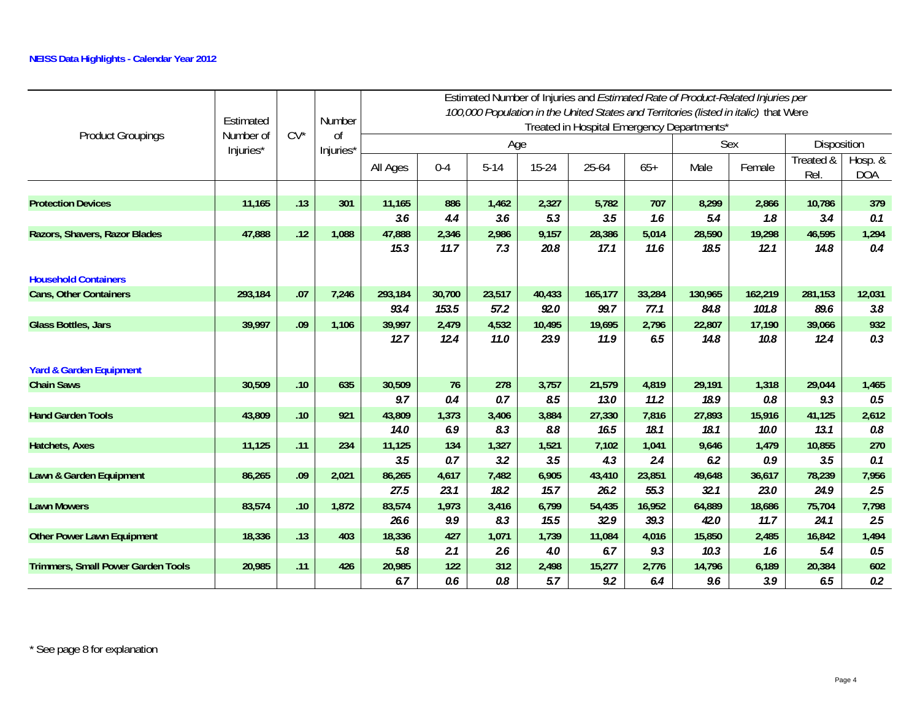|                                           | Estimated<br>Number of | $CV^*$ | Number<br>0f |             |         |          |        |         |        | Estimated Number of Injuries and Estimated Rate of Product-Related Injuries per<br>100,000 Population in the United States and Territories (listed in italic) that Were<br>Treated in Hospital Emergency Departments* |         |                   |                         |
|-------------------------------------------|------------------------|--------|--------------|-------------|---------|----------|--------|---------|--------|-----------------------------------------------------------------------------------------------------------------------------------------------------------------------------------------------------------------------|---------|-------------------|-------------------------|
| <b>Product Groupings</b>                  | Injuries*              |        | Injuries*    |             |         | Age      |        |         |        |                                                                                                                                                                                                                       | Sex     | Disposition       |                         |
|                                           |                        |        |              | All Ages    | $0 - 4$ | $5 - 14$ | 15-24  | 25-64   | $65+$  | Male                                                                                                                                                                                                                  | Female  | Treated &<br>Rel. | Hosp. $&$<br><b>DOA</b> |
|                                           |                        |        |              |             |         |          |        |         |        |                                                                                                                                                                                                                       |         |                   |                         |
| <b>Protection Devices</b>                 | 11,165                 | .13    | 301          | 11,165      | 886     | 1,462    | 2,327  | 5,782   | 707    | 8,299                                                                                                                                                                                                                 | 2,866   | 10,786            | 379                     |
|                                           |                        |        |              | 3.6         | 4.4     | 3.6      | 5.3    | 3.5     | 1.6    | 5.4                                                                                                                                                                                                                   | 1.8     | 3.4               | 0.1                     |
| Razors, Shavers, Razor Blades             | 47,888                 | .12    | 1,088        | 47,888      | 2,346   | 2,986    | 9,157  | 28,386  | 5,014  | 28,590                                                                                                                                                                                                                | 19,298  | 46,595            | 1,294                   |
|                                           |                        |        |              | 15.3        | 11.7    | 7.3      | 20.8   | 17.1    | 11.6   | 18.5                                                                                                                                                                                                                  | 12.1    | 14.8              | 0.4                     |
| <b>Household Containers</b>               |                        |        |              |             |         |          |        |         |        |                                                                                                                                                                                                                       |         |                   |                         |
| <b>Cans, Other Containers</b>             | 293,184                | .07    | 7,246        | 293,184     | 30,700  | 23,517   | 40,433 | 165,177 | 33,284 | 130,965                                                                                                                                                                                                               | 162,219 | 281,153           | 12,031                  |
|                                           |                        |        |              | 93.4        | 153.5   | 57.2     | 92.0   | 99.7    | 77.1   | 84.8                                                                                                                                                                                                                  | 101.8   | 89.6              | 3.8                     |
| <b>Glass Bottles, Jars</b>                | 39,997                 | .09    | 1,106        | 39,997      | 2,479   | 4,532    | 10,495 | 19,695  | 2,796  | 22,807                                                                                                                                                                                                                | 17,190  | 39,066            | 932                     |
|                                           |                        |        |              | 12.7        | 12.4    | 11.0     | 23.9   | 11.9    | 6.5    | 14.8                                                                                                                                                                                                                  | 10.8    | 12.4              | 0.3                     |
|                                           |                        |        |              |             |         |          |        |         |        |                                                                                                                                                                                                                       |         |                   |                         |
| <b>Yard &amp; Garden Equipment</b>        |                        |        |              |             |         |          |        |         |        |                                                                                                                                                                                                                       |         |                   |                         |
| <b>Chain Saws</b>                         | 30,509                 | .10    | 635          | 30,509      | 76      | 278      | 3,757  | 21,579  | 4,819  | 29,191                                                                                                                                                                                                                | 1,318   | 29,044            | 1,465                   |
|                                           |                        |        |              | 9.7         | 0.4     | 0.7      | 8.5    | 13.0    | 11.2   | 18.9                                                                                                                                                                                                                  | 0.8     | 9.3               | 0.5                     |
| <b>Hand Garden Tools</b>                  | 43,809                 | .10    | 921          | 43,809      | 1,373   | 3,406    | 3,884  | 27,330  | 7,816  | 27,893                                                                                                                                                                                                                | 15,916  | 41,125            | 2,612                   |
|                                           |                        |        |              | <b>14.0</b> | 6.9     | 8.3      | 8.8    | 16.5    | 18.1   | 18.1                                                                                                                                                                                                                  | 10.0    | 13.1              | $0.8\,$                 |
| <b>Hatchets, Axes</b>                     | 11,125                 | .11    | 234          | 11,125      | 134     | 1,327    | 1,521  | 7,102   | 1,041  | 9,646                                                                                                                                                                                                                 | 1,479   | 10,855            | 270                     |
|                                           |                        |        |              | 3.5         | 0.7     | 3.2      | 3.5    | 4.3     | 2.4    | 6.2                                                                                                                                                                                                                   | 0.9     | 3.5               | 0.1                     |
| Lawn & Garden Equipment                   | 86,265                 | .09    | 2,021        | 86,265      | 4,617   | 7,482    | 6,905  | 43,410  | 23,851 | 49,648                                                                                                                                                                                                                | 36,617  | 78,239            | 7,956                   |
|                                           |                        |        |              | 27.5        | 23.1    | 18.2     | 15.7   | 26.2    | 55.3   | 32.1                                                                                                                                                                                                                  | 23.0    | 24.9              | 2.5                     |
| <b>Lawn Mowers</b>                        | 83,574                 | .10    | 1,872        | 83,574      | 1,973   | 3,416    | 6,799  | 54,435  | 16,952 | 64,889                                                                                                                                                                                                                | 18,686  | 75,704            | 7,798                   |
|                                           |                        |        |              | 26.6        | 9.9     | 8.3      | 15.5   | 32.9    | 39.3   | 42.0                                                                                                                                                                                                                  | 11.7    | 24.1              | 2.5                     |
| <b>Other Power Lawn Equipment</b>         | 18,336                 | .13    | 403          | 18,336      | 427     | 1,071    | 1,739  | 11,084  | 4,016  | 15,850                                                                                                                                                                                                                | 2,485   | 16,842            | 1,494                   |
|                                           |                        |        |              | 5.8         | 2.1     | 2.6      | 4.0    | 6.7     | 9.3    | 10.3                                                                                                                                                                                                                  | 1.6     | 5.4               | $0.5\,$                 |
| <b>Trimmers, Small Power Garden Tools</b> | 20,985                 | .11    | 426          | 20,985      | 122     | 312      | 2,498  | 15,277  | 2,776  | 14,796                                                                                                                                                                                                                | 6,189   | 20,384            | 602                     |
|                                           |                        |        |              | 6.7         | 0.6     | 0.8      | 5.7    | 9.2     | 6.4    | 9.6                                                                                                                                                                                                                   | 3.9     | 6.5               | 0.2                     |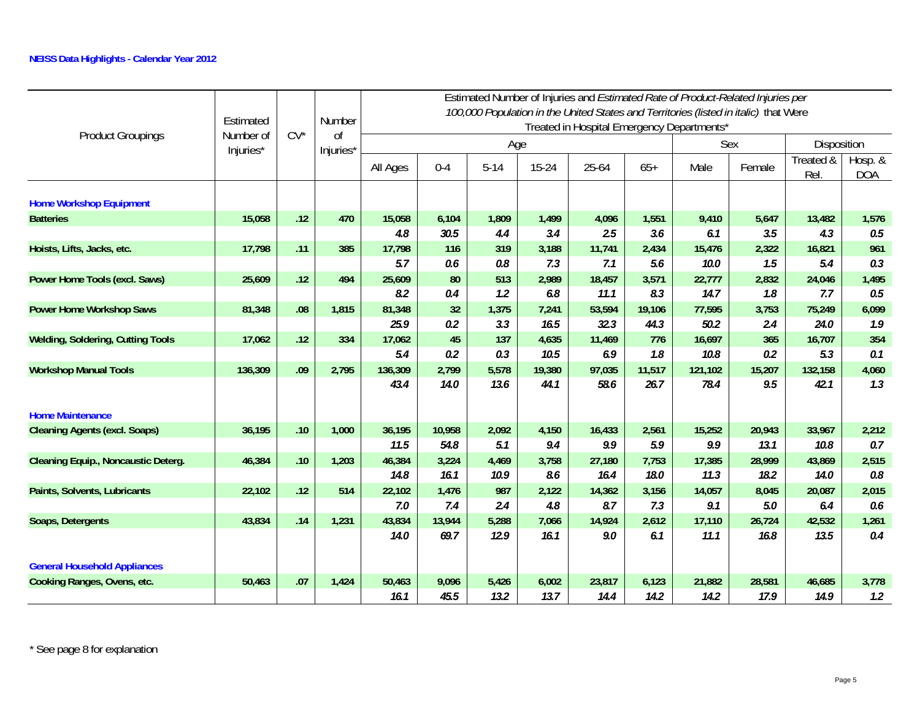|                                            | Estimated              | $CV^*$ | Number<br>0f |                 |               |               |                | Estimated Number of Injuries and Estimated Rate of Product-Related Injuries per<br>100,000 Population in the United States and Territories (listed in italic) that Were<br>Treated in Hospital Emergency Departments* |                |                 |               |                   |                       |
|--------------------------------------------|------------------------|--------|--------------|-----------------|---------------|---------------|----------------|-----------------------------------------------------------------------------------------------------------------------------------------------------------------------------------------------------------------------|----------------|-----------------|---------------|-------------------|-----------------------|
| <b>Product Groupings</b>                   | Number of<br>Injuries* |        | Injuries*    |                 |               | Age           |                |                                                                                                                                                                                                                       |                |                 | Sex           | Disposition       |                       |
|                                            |                        |        |              | All Ages        | $0 - 4$       | $5 - 14$      | $15 - 24$      | 25-64                                                                                                                                                                                                                 | $65+$          | Male            | Female        | Treated &<br>Rel. | Hosp. &<br><b>DOA</b> |
| <b>Home Workshop Equipment</b>             |                        |        |              |                 |               |               |                |                                                                                                                                                                                                                       |                |                 |               |                   |                       |
| <b>Batteries</b>                           | 15,058                 | .12    | 470          | 15,058          | 6,104         | 1,809         | 1,499          | 4,096                                                                                                                                                                                                                 | 1,551          | 9,410           | 5,647         | 13,482            | 1,576                 |
|                                            |                        |        |              | 4.8             | 30.5          | 4.4           | 3.4            | 2.5                                                                                                                                                                                                                   | 3.6            | 6.1             | 3.5           | 4.3               | 0.5                   |
| Hoists, Lifts, Jacks, etc.                 | 17,798                 | .11    | 385          | 17,798          | 116           | 319           | 3,188          | 11,741                                                                                                                                                                                                                | 2,434          | 15,476          | 2,322         | 16,821            | 961                   |
|                                            |                        |        |              | 5.7             | 0.6           | 0.8           | 7.3            | 7.1                                                                                                                                                                                                                   | 5.6            | 10.0            | 1.5           | 5.4               | 0.3                   |
| Power Home Tools (excl. Saws)              | 25,609                 | .12    | 494          | 25,609          | 80            | 513           | 2,989          | 18,457                                                                                                                                                                                                                | 3,571          | 22,777          | 2,832         | 24,046            | 1,495                 |
|                                            |                        |        |              | 8.2             | 0.4           | 1.2           | 6.8            | 11.1                                                                                                                                                                                                                  | 8.3            | 14.7            | 1.8           | 7.7               | 0.5                   |
| <b>Power Home Workshop Saws</b>            | 81,348                 | .08    | 1,815        | 81,348          | 32            | 1,375         | 7,241          | 53,594                                                                                                                                                                                                                | 19,106         | 77,595          | 3,753         | 75,249            | 6,099                 |
|                                            |                        |        |              | 25.9            | 0.2           | 3.3           | 16.5           | 32.3                                                                                                                                                                                                                  | 44.3           | 50.2            | 2.4           | 24.0              | 1.9                   |
| <b>Welding, Soldering, Cutting Tools</b>   | 17,062                 | .12    | 334          | 17,062          | 45            | 137           | 4,635          | 11,469                                                                                                                                                                                                                | 776            | 16,697          | 365           | 16,707            | 354                   |
|                                            |                        | .09    |              | 5.4             | 0.2           | 0.3           | 10.5           | 6.9                                                                                                                                                                                                                   | 1.8            | 10.8            | 0.2           | 5.3               | 0.1                   |
| <b>Workshop Manual Tools</b>               | 136,309                |        | 2,795        | 136,309<br>43.4 | 2,799<br>14.0 | 5,578<br>13.6 | 19,380<br>44.1 | 97,035<br>58.6                                                                                                                                                                                                        | 11,517<br>26.7 | 121,102<br>78.4 | 15,207<br>9.5 | 132,158<br>42.1   | 4,060<br>1.3          |
|                                            |                        |        |              |                 |               |               |                |                                                                                                                                                                                                                       |                |                 |               |                   |                       |
| <b>Home Maintenance</b>                    |                        |        |              |                 |               |               |                |                                                                                                                                                                                                                       |                |                 |               |                   |                       |
| <b>Cleaning Agents (excl. Soaps)</b>       | 36,195                 | .10    | 1,000        | 36,195          | 10,958        | 2,092         | 4,150          | 16,433                                                                                                                                                                                                                | 2,561          | 15,252          | 20,943        | 33,967            | 2,212                 |
|                                            |                        |        |              | 11.5            | 54.8          | 5.1           | 9.4            | 9.9                                                                                                                                                                                                                   | 5.9            | 9.9             | 13.1          | 10.8              | 0.7                   |
| <b>Cleaning Equip., Noncaustic Deterg.</b> | 46,384                 | .10    | 1,203        | 46,384          | 3,224         | 4,469         | 3,758          | 27,180                                                                                                                                                                                                                | 7,753          | 17,385          | 28,999        | 43,869            | 2,515                 |
|                                            |                        |        |              | 14.8            | 16.1          | 10.9          | 8.6            | 16.4                                                                                                                                                                                                                  | 18.0           | 11.3            | 18.2          | 14.0              | 0.8                   |
| Paints, Solvents, Lubricants               | 22,102                 | .12    | 514          | 22,102          | 1,476         | 987           | 2,122          | 14,362                                                                                                                                                                                                                | 3,156          | 14,057          | 8,045         | 20,087            | 2,015                 |
|                                            |                        |        |              | 7.0             | 7.4           | 2.4           | 4.8            | 8.7                                                                                                                                                                                                                   | 7.3            | 9.1             | 5.0           | 6.4               | 0.6                   |
| Soaps, Detergents                          | 43,834                 | .14    | 1,231        | 43,834          | 13,944        | 5,288         | 7,066          | 14,924                                                                                                                                                                                                                | 2,612          | 17,110          | 26,724        | 42,532            | 1,261                 |
|                                            |                        |        |              | 14.0            | 69.7          | 12.9          | 16.1           | 9.0                                                                                                                                                                                                                   | 6.1            | 11.1            | 16.8          | 13.5              | 0.4                   |
|                                            |                        |        |              |                 |               |               |                |                                                                                                                                                                                                                       |                |                 |               |                   |                       |
| <b>General Household Appliances</b>        |                        |        |              |                 |               |               |                |                                                                                                                                                                                                                       |                |                 |               |                   |                       |
| Cooking Ranges, Ovens, etc.                | 50,463                 | .07    | 1,424        | 50,463          | 9,096         | 5,426         | 6,002          | 23,817                                                                                                                                                                                                                | 6,123          | 21,882          | 28,581        | 46,685            | 3,778                 |
|                                            |                        |        |              | 16.1            | 45.5          | 13.2          | 13.7           | 14.4                                                                                                                                                                                                                  | 14.2           | 14.2            | 17.9          | 14.9              | 1.2                   |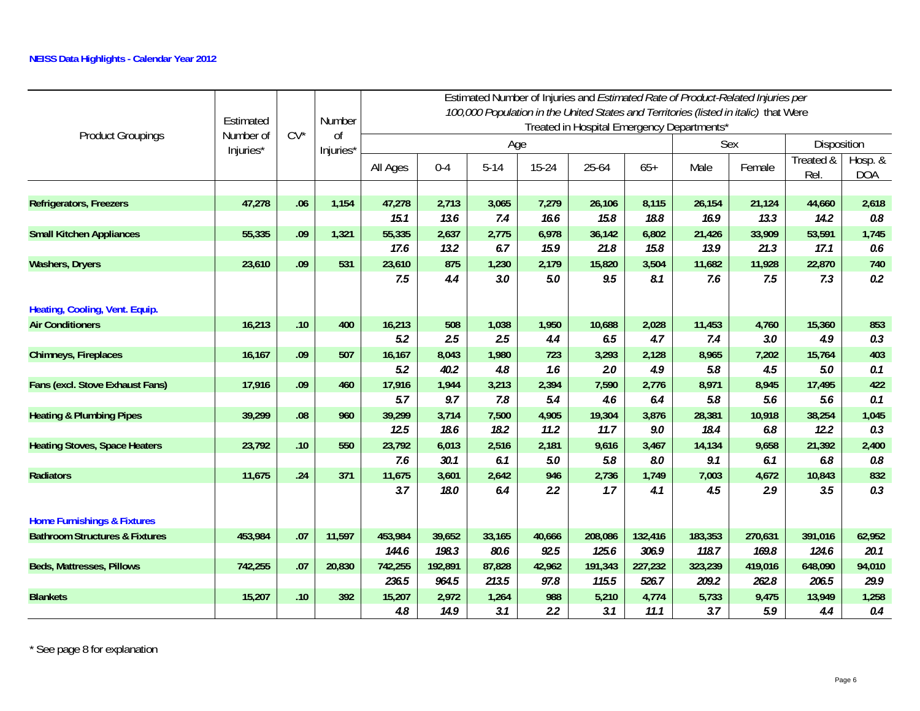|                                           | Estimated              |        | Number                     |               |            |          |              |               |              | Treated in Hospital Emergency Departments* |                                                                                                                                                                                                                                                                                                                                                                                          |                   |                       |
|-------------------------------------------|------------------------|--------|----------------------------|---------------|------------|----------|--------------|---------------|--------------|--------------------------------------------|------------------------------------------------------------------------------------------------------------------------------------------------------------------------------------------------------------------------------------------------------------------------------------------------------------------------------------------------------------------------------------------|-------------------|-----------------------|
| <b>Product Groupings</b>                  | Number of<br>Injuries* | $CV^*$ | <sub>Of</sub><br>Injuries* |               |            | Age      |              |               |              | Sex                                        | Estimated Number of Injuries and Estimated Rate of Product-Related Injuries per<br>100,000 Population in the United States and Territories (listed in italic) that Were<br>Female<br>21,124<br>13.3<br>33,909<br>21.3<br>11,928<br>7.5<br>4,760<br>3.0<br>7,202<br>4.5<br>8,945<br>5.6<br>10,918<br>6.8<br>9,658<br>6.1<br>4,672<br>2.9<br>270,631<br>169.8<br>419,016<br>262.8<br>9,475 | Disposition       |                       |
|                                           |                        |        |                            | All Ages      | $0 - 4$    | $5 - 14$ | $15 - 24$    | 25-64         | $65+$        | Male                                       |                                                                                                                                                                                                                                                                                                                                                                                          | Treated &<br>Rel. | Hosp. &<br><b>DOA</b> |
|                                           |                        |        |                            |               |            |          |              |               |              |                                            |                                                                                                                                                                                                                                                                                                                                                                                          |                   |                       |
| <b>Refrigerators, Freezers</b>            | 47,278                 | .06    | 1,154                      | 47,278        | 2,713      | 3,065    | 7,279        | 26,106        | 8,115        | 26,154                                     |                                                                                                                                                                                                                                                                                                                                                                                          | 44,660            | 2,618                 |
|                                           |                        |        |                            | 15.1          | 13.6       | 7.4      | 16.6         | 15.8          | 18.8         | 16.9                                       |                                                                                                                                                                                                                                                                                                                                                                                          | 14.2              | 0.8                   |
| <b>Small Kitchen Appliances</b>           | 55,335                 | .09    | 1,321                      | 55,335        | 2,637      | 2,775    | 6,978        | 36,142        | 6,802        | 21,426                                     |                                                                                                                                                                                                                                                                                                                                                                                          | 53,591            | 1,745                 |
|                                           |                        |        |                            | 17.6          | 13.2       | 6.7      | 15.9         | 21.8          | 15.8         | 13.9                                       |                                                                                                                                                                                                                                                                                                                                                                                          | 17.1              | 0.6                   |
| <b>Washers, Dryers</b>                    | 23,610                 | .09    | 531                        | 23,610<br>7.5 | 875<br>4.4 | 1,230    | 2,179<br>5.0 | 15,820<br>9.5 | 3,504<br>8.1 | 11,682<br>7.6                              |                                                                                                                                                                                                                                                                                                                                                                                          | 22,870<br>7.3     | 740<br>0.2            |
|                                           |                        |        |                            |               |            | 3.0      |              |               |              |                                            |                                                                                                                                                                                                                                                                                                                                                                                          |                   |                       |
| Heating, Cooling, Vent. Equip.            |                        |        |                            |               |            |          |              |               |              |                                            |                                                                                                                                                                                                                                                                                                                                                                                          |                   |                       |
| <b>Air Conditioners</b>                   | 16,213                 | .10    | 400                        | 16,213        | 508        | 1,038    | 1,950        | 10,688        | 2,028        | 11,453                                     |                                                                                                                                                                                                                                                                                                                                                                                          | 15,360            | 853                   |
|                                           |                        |        |                            | 5.2           | 2.5        | 2.5      | 4.4          | 6.5           | 4.7          | 7.4                                        |                                                                                                                                                                                                                                                                                                                                                                                          | 4.9               | 0.3                   |
| Chimneys, Fireplaces                      | 16,167                 | .09    | 507                        | 16,167        | 8,043      | 1,980    | 723          | 3,293         | 2,128        | 8,965                                      |                                                                                                                                                                                                                                                                                                                                                                                          | 15,764            | 403                   |
|                                           |                        |        |                            | 5.2           | 40.2       | 4.8      | 1.6          | 2.0           | 4.9          | 5.8                                        |                                                                                                                                                                                                                                                                                                                                                                                          | 5.0               | 0.1                   |
| Fans (excl. Stove Exhaust Fans)           | 17,916                 | .09    | 460                        | 17,916        | 1,944      | 3,213    | 2,394        | 7,590         | 2,776        | 8,971                                      |                                                                                                                                                                                                                                                                                                                                                                                          | 17,495            | 422                   |
|                                           |                        |        |                            | 5.7           | 9.7        | 7.8      | 5.4          | 4.6           | 6.4          | 5.8                                        |                                                                                                                                                                                                                                                                                                                                                                                          | 5.6               | 0.1                   |
| <b>Heating &amp; Plumbing Pipes</b>       | 39,299                 | .08    | 960                        | 39,299        | 3,714      | 7,500    | 4,905        | 19,304        | 3,876        | 28,381                                     |                                                                                                                                                                                                                                                                                                                                                                                          | 38,254            | 1,045                 |
|                                           |                        |        |                            | 12.5          | 18.6       | 18.2     | 11.2         | 11.7          | 9.0          | 18.4                                       |                                                                                                                                                                                                                                                                                                                                                                                          | 12.2              | 0.3                   |
| <b>Heating Stoves, Space Heaters</b>      | 23,792                 | .10    | 550                        | 23,792        | 6,013      | 2,516    | 2,181        | 9,616         | 3,467        | 14,134                                     |                                                                                                                                                                                                                                                                                                                                                                                          | 21,392            | 2,400                 |
|                                           |                        |        |                            | 7.6           | 30.1       | 6.1      | 5.0          | 5.8           | 8.0          | 9.1                                        |                                                                                                                                                                                                                                                                                                                                                                                          | 6.8               | $0.8\,$               |
| <b>Radiators</b>                          | 11,675                 | .24    | 371                        | 11,675        | 3,601      | 2,642    | 946          | 2,736         | 1,749        | 7,003                                      |                                                                                                                                                                                                                                                                                                                                                                                          | 10,843            | 832                   |
|                                           |                        |        |                            | 3.7           | 18.0       | 6.4      | 2.2          | 1.7           | 4.1          | 4.5                                        |                                                                                                                                                                                                                                                                                                                                                                                          | 3.5               | 0.3                   |
| <b>Home Furnishings &amp; Fixtures</b>    |                        |        |                            |               |            |          |              |               |              |                                            |                                                                                                                                                                                                                                                                                                                                                                                          |                   |                       |
| <b>Bathroom Structures &amp; Fixtures</b> | 453,984                | .07    | 11,597                     | 453,984       | 39,652     | 33,165   | 40,666       | 208,086       | 132,416      | 183,353                                    |                                                                                                                                                                                                                                                                                                                                                                                          | 391,016           | 62,952                |
|                                           |                        |        |                            | 144.6         | 198.3      | 80.6     | 92.5         | 125.6         | 306.9        | 118.7                                      |                                                                                                                                                                                                                                                                                                                                                                                          | 124.6             | 20.1                  |
| Beds, Mattresses, Pillows                 | 742,255                | .07    | 20,830                     | 742,255       | 192,891    | 87,828   | 42,962       | 191,343       | 227,232      | 323,239                                    |                                                                                                                                                                                                                                                                                                                                                                                          | 648,090           | 94,010                |
|                                           |                        |        |                            | 236.5         | 964.5      | 213.5    | 97.8         | 115.5         | 526.7        | 209.2                                      |                                                                                                                                                                                                                                                                                                                                                                                          | 206.5             | 29.9                  |
| <b>Blankets</b>                           | 15,207                 | .10    | 392                        | 15,207        | 2,972      | 1,264    | 988          | 5,210         | 4,774        | 5,733                                      |                                                                                                                                                                                                                                                                                                                                                                                          | 13,949            | 1,258                 |
|                                           |                        |        |                            | 4.8           | 14.9       | 3.1      | 2.2          | 3.1           | 11.1         | 3.7                                        | 5.9                                                                                                                                                                                                                                                                                                                                                                                      | 4.4               | 0.4                   |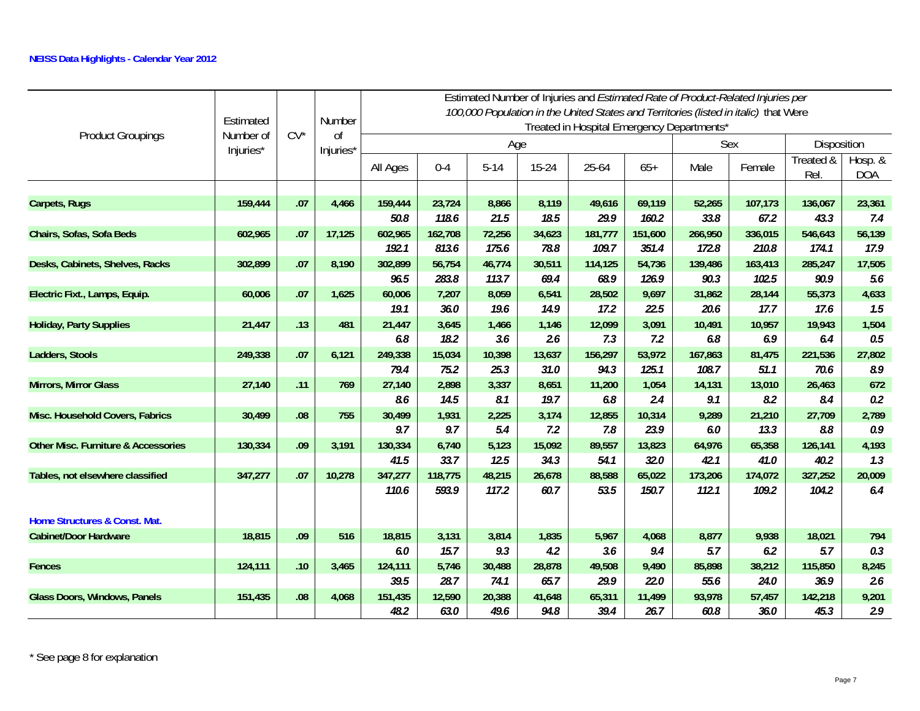|                                                | Estimated |        | Number    |          |         |          |           |                                            |         |         | Estimated Number of Injuries and Estimated Rate of Product-Related Injuries per<br>100,000 Population in the United States and Territories (listed in italic) that Were |                  |                       |
|------------------------------------------------|-----------|--------|-----------|----------|---------|----------|-----------|--------------------------------------------|---------|---------|-------------------------------------------------------------------------------------------------------------------------------------------------------------------------|------------------|-----------------------|
| <b>Product Groupings</b>                       | Number of | $CV^*$ | $\Omega$  |          |         |          |           | Treated in Hospital Emergency Departments* |         |         |                                                                                                                                                                         |                  |                       |
|                                                | Injuries* |        | Injuries* |          |         | Age      |           |                                            |         |         | Sex                                                                                                                                                                     | Disposition      |                       |
|                                                |           |        |           | All Ages | $0 - 4$ | $5 - 14$ | $15 - 24$ | 25-64                                      | $65+$   | Male    | Female                                                                                                                                                                  | Treated &<br>Rel | Hosp. &<br><b>DOA</b> |
|                                                |           |        |           |          |         |          |           |                                            |         |         |                                                                                                                                                                         |                  |                       |
| Carpets, Rugs                                  | 159,444   | .07    | 4,466     | 159,444  | 23,724  | 8,866    | 8,119     | 49,616                                     | 69,119  | 52,265  | 107,173                                                                                                                                                                 | 136,067          | 23,361                |
|                                                |           |        |           | 50.8     | 118.6   | 21.5     | 18.5      | 29.9                                       | 160.2   | 33.8    | 67.2                                                                                                                                                                    | 43.3             | 7.4                   |
| Chairs, Sofas, Sofa Beds                       | 602,965   | .07    | 17,125    | 602,965  | 162,708 | 72,256   | 34,623    | 181,777                                    | 151,600 | 266,950 | 336,015                                                                                                                                                                 | 546,643          | 56,139                |
|                                                |           |        |           | 192.1    | 813.6   | 175.6    | 78.8      | 109.7                                      | 351.4   | 172.8   | 210.8                                                                                                                                                                   | 174.1            | 17.9                  |
| Desks, Cabinets, Shelves, Racks                | 302,899   | .07    | 8,190     | 302,899  | 56,754  | 46,774   | 30,511    | 114,125                                    | 54,736  | 139,486 | 163,413                                                                                                                                                                 | 285,247          | 17,505                |
|                                                |           |        |           | 96.5     | 283.8   | 113.7    | 69.4      | 68.9                                       | 126.9   | 90.3    | 102.5                                                                                                                                                                   | 90.9             | 5.6                   |
| Electric Fixt., Lamps, Equip.                  | 60,006    | .07    | 1,625     | 60,006   | 7,207   | 8,059    | 6,541     | 28,502                                     | 9,697   | 31,862  | 28,144                                                                                                                                                                  | 55,373           | 4,633                 |
|                                                |           |        |           | 19.1     | 36.0    | 19.6     | 14.9      | 17.2                                       | 22.5    | 20.6    | 17.7                                                                                                                                                                    | 17.6             | 1.5                   |
| <b>Holiday, Party Supplies</b>                 | 21,447    | .13    | 481       | 21,447   | 3,645   | 1,466    | 1,146     | 12,099                                     | 3,091   | 10,491  | 10,957                                                                                                                                                                  | 19,943           | 1,504                 |
|                                                |           |        |           | 6.8      | 18.2    | 3.6      | 2.6       | 7.3                                        | 7.2     | 6.8     | 6.9                                                                                                                                                                     | 6.4              | $0.5\,$               |
| Ladders, Stools                                | 249,338   | .07    | 6,121     | 249,338  | 15,034  | 10,398   | 13,637    | 156,297                                    | 53,972  | 167,863 | 81,475                                                                                                                                                                  | 221,536          | 27,802                |
|                                                |           |        |           | 79.4     | 75.2    | 25.3     | 31.0      | 94.3                                       | 125.1   | 108.7   | 51.1                                                                                                                                                                    | 70.6             | 8.9                   |
| <b>Mirrors, Mirror Glass</b>                   | 27,140    | .11    | 769       | 27,140   | 2,898   | 3,337    | 8,651     | 11,200                                     | 1,054   | 14,131  | 13,010                                                                                                                                                                  | 26,463           | 672                   |
|                                                |           |        |           | 8.6      | 14.5    | 8.1      | 19.7      | 6.8                                        | 2.4     | 9.1     | 8.2                                                                                                                                                                     | 8.4              | 0.2                   |
| Misc. Household Covers, Fabrics                | 30,499    | .08    | 755       | 30,499   | 1,931   | 2,225    | 3,174     | 12,855                                     | 10,314  | 9,289   | 21,210                                                                                                                                                                  | 27,709           | 2,789                 |
|                                                |           |        |           | 9.7      | 9.7     | 5.4      | 7.2       | 7.8                                        | 23.9    | 6.0     | 13.3                                                                                                                                                                    | 8.8              | 0.9                   |
| <b>Other Misc. Furniture &amp; Accessories</b> | 130,334   | .09    | 3,191     | 130,334  | 6,740   | 5,123    | 15,092    | 89,557                                     | 13,823  | 64,976  | 65,358                                                                                                                                                                  | 126,141          | 4,193                 |
|                                                |           |        |           | 41.5     | 33.7    | 12.5     | 34.3      | 54.1                                       | 32.0    | 42.1    | 41.0                                                                                                                                                                    | 40.2             | 1.3                   |
| Tables, not elsewhere classified               | 347,277   | .07    | 10,278    | 347,277  | 118,775 | 48,215   | 26,678    | 88,588                                     | 65,022  | 173,206 | 174,072                                                                                                                                                                 | 327,252          | 20,009                |
|                                                |           |        |           | 110.6    | 593.9   | 117.2    | 60.7      | 53.5                                       | 150.7   | 112.1   | 109.2                                                                                                                                                                   | 104.2            | 6.4                   |
| Home Structures & Const. Mat.                  |           |        |           |          |         |          |           |                                            |         |         |                                                                                                                                                                         |                  |                       |
| <b>Cabinet/Door Hardware</b>                   | 18,815    | .09    | 516       | 18,815   | 3,131   | 3,814    | 1,835     | 5,967                                      | 4,068   | 8,877   | 9,938                                                                                                                                                                   | 18,021           | 794                   |
|                                                |           |        |           | 6.0      | 15.7    | 9.3      | 4.2       | 3.6                                        | 9.4     | 5.7     | 6.2                                                                                                                                                                     | 5.7              | 0.3                   |
| <b>Fences</b>                                  | 124,111   | .10    | 3,465     | 124,111  | 5,746   | 30,488   | 28,878    | 49,508                                     | 9,490   | 85,898  | 38,212                                                                                                                                                                  | 115,850          | 8,245                 |
|                                                |           |        |           | 39.5     | 28.7    | 74.1     | 65.7      | 29.9                                       | 22.0    | 55.6    | 24.0                                                                                                                                                                    | 36.9             | 2.6                   |
| <b>Glass Doors, Windows, Panels</b>            | 151,435   | .08    | 4,068     | 151,435  | 12,590  | 20,388   | 41,648    | 65,311                                     | 11,499  | 93,978  | 57,457                                                                                                                                                                  | 142,218          | 9,201                 |
|                                                |           |        |           | 48.2     | 63.0    | 49.6     | 94.8      | 39.4                                       | 26.7    | 60.8    | 36.0                                                                                                                                                                    | 45.3             | 2.9                   |